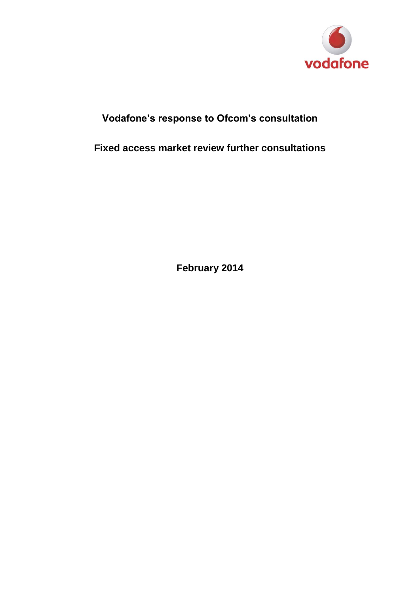

# **Vodafone's response to Ofcom's consultation**

**Fixed access market review further consultations**

**February 2014**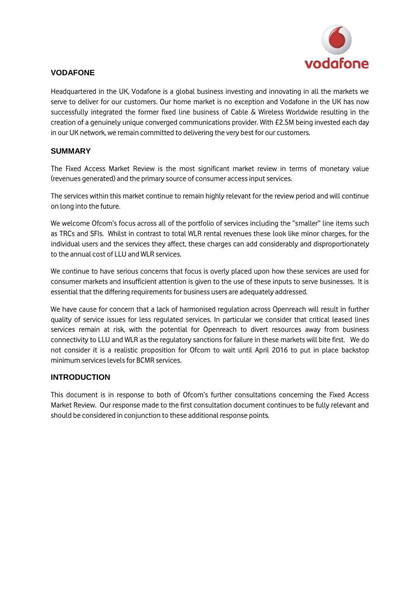

## **VODAFONE**

Headquartered in the UK, Vodafone is a global business investing and innovating in all the markets we serve to deliver for our customers. Our home market is no exception and Vodafone in the UK has now successfully integrated the former fixed line business of Cable & Wireless Worldwide resulting in the creation of a genuinely unique converged communications provider. With £2.5M being invested each day in our UK network, we remain committed to delivering the very best for our customers.

#### **SUMMARY**

The Fixed Access Market Review is the most significant market review in terms of monetary value (revenues generated) and the primary source of consumer access input services.

The services within this market continue to remain highly relevant for the review period and will continue on long into the future.

We welcome Ofcom's focus across all of the portfolio of services including the "smaller" line items such as TRCs and SFIs. Whilst in contrast to total WLR rental revenues these look like minor charges, for the individual users and the services they affect, these charges can add considerably and disproportionately to the annual cost of LLU and WLR services.

We continue to have serious concerns that focus is overly placed upon how these services are used for consumer markets and insufficient attention is given to the use of these inputs to serve businesses. It is essential that the differing requirements for business users are adequately addressed.

We have cause for concern that a lack of harmonised regulation across Openreach will result in further quality of service issues for less regulated services. In particular we consider that critical leased lines services remain at risk, with the potential for Openreach to divert resources away from business connectivity to LLU and WLR as the regulatory sanctions for failure in these markets will bite first. We do not consider it is a realistic proposition for Ofcom to wait until April 2016 to put in place backstop minimum services levels for BCMR services.

#### **INTRODUCTION**

This document is in response to both of Ofcom's further consultations concerning the Fixed Access Market Review. Our response made to the first consultation document continues to be fully relevant and should be considered in conjunction to these additional response points.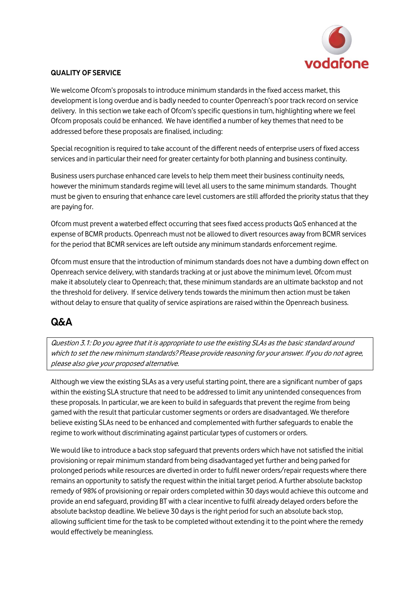

#### **QUALITY OF SERVICE**

We welcome Ofcom's proposals to introduce minimum standards in the fixed access market, this development is long overdue and is badly needed to counter Openreach's poor track record on service delivery. In this section we take each of Ofcom's specific questions in turn, highlighting where we feel Ofcom proposals could be enhanced. We have identified a number of key themes that need to be addressed before these proposals are finalised, including:

Special recognition is required to take account of the different needs of enterprise users of fixed access services and in particular their need for greater certainty for both planning and business continuity.

Business users purchase enhanced care levels to help them meet their business continuity needs, however the minimum standards regime will level all users to the same minimum standards. Thought must be given to ensuring that enhance care level customers are still afforded the priority status that they are paying for.

Ofcom must prevent a waterbed effect occurring that sees fixed access products QoS enhanced at the expense of BCMR products. Openreach must not be allowed to divert resources away from BCMR services for the period that BCMR services are left outside any minimum standards enforcement regime.

Ofcom must ensure that the introduction of minimum standards does not have a dumbing down effect on Openreach service delivery, with standards tracking at or just above the minimum level. Ofcom must make it absolutely clear to Openreach; that, these minimum standards are an ultimate backstop and not the threshold for delivery. If service delivery tends towards the minimum then action must be taken without delay to ensure that quality of service aspirations are raised within the Openreach business.

# **Q&A**

Question 3.1: Do you agree that it is appropriate to use the existing SLAs as the basic standard around which to set the new minimum standards? Please provide reasoning for your answer. If you do not agree, please also give your proposed alternative.

Although we view the existing SLAs as a very useful starting point, there are a significant number of gaps within the existing SLA structure that need to be addressed to limit any unintended consequences from these proposals. In particular, we are keen to build in safeguards that prevent the regime from being gamed with the result that particular customer segments or orders are disadvantaged. We therefore believe existing SLAs need to be enhanced and complemented with further safeguards to enable the regime to work without discriminating against particular types of customers or orders.

We would like to introduce a back stop safeguard that prevents orders which have not satisfied the initial provisioning or repair minimum standard from being disadvantaged yet further and being parked for prolonged periods while resources are diverted in order to fulfil newer orders/repair requests where there remains an opportunity to satisfy the request within the initial target period. A further absolute backstop remedy of 98% of provisioning or repair orders completed within 30 days would achieve this outcome and provide an end safeguard, providing BT with a clear incentive to fulfil already delayed orders before the absolute backstop deadline. We believe 30 days is the right period for such an absolute back stop, allowing sufficient time for the task to be completed without extending it to the point where the remedy would effectively be meaningless.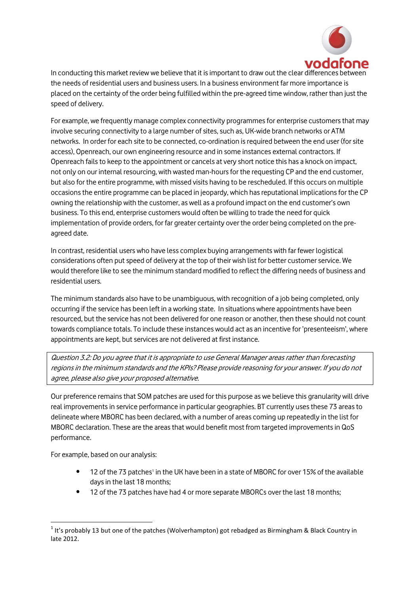

In conducting this market review we believe that it is important to draw out the clear differences the needs of residential users and business users. In a business environment far more importance is placed on the certainty of the order being fulfilled within the pre-agreed time window, rather than just the speed of delivery.

For example, we frequently manage complex connectivity programmes for enterprise customers that may involve securing connectivity to a large number of sites, such as, UK-wide branch networks or ATM networks. In order for each site to be connected, co-ordination is required between the end user (for site access), Openreach, our own engineering resource and in some instances external contractors. If Openreach fails to keep to the appointment or cancels at very short notice this has a knock on impact, not only on our internal resourcing, with wasted man-hours for the requesting CP and the end customer, but also for the entire programme, with missed visits having to be rescheduled. If this occurs on multiple occasions the entire programme can be placed in jeopardy, which has reputational implications for the CP owning the relationship with the customer, as well as a profound impact on the end customer's own business. To this end, enterprise customers would often be willing to trade the need for quick implementation of provide orders, for far greater certainty over the order being completed on the preagreed date.

In contrast, residential users who have less complex buying arrangements with far fewer logistical considerations often put speed of delivery at the top of their wish list for better customer service. We would therefore like to see the minimum standard modified to reflect the differing needs of business and residential users.

The minimum standards also have to be unambiguous, with recognition of a job being completed, only occurring if the service has been left in a working state. In situations where appointments have been resourced, but the service has not been delivered for one reason or another, then these should not count towards compliance totals. To include these instances would act as an incentive for 'presenteeism', where appointments are kept, but services are not delivered at first instance.

Question 3.2: Do you agree that it is appropriate to use General Manager areas rather than forecasting regions in the minimum standards and the KPIs? Please provide reasoning for your answer. If you do not agree, please also give your proposed alternative.

Our preference remains that SOM patches are used for this purpose as we believe this granularity will drive real improvements in service performance in particular geographies. BT currently uses these 73 areas to delineate where MBORC has been declared, with a number of areas coming up repeatedly in the list for MBORC declaration. These are the areas that would benefit most from targeted improvements in QoS performance.

For example, based on our analysis:

**.** 

- 12 of the 73 patches<sup>1</sup> in the UK have been in a state of MBORC for over 15% of the available days in the last 18 months;
- 12 of the 73 patches have had 4 or more separate MBORCs over the last 18 months;

 $<sup>1</sup>$  It's probably 13 but one of the patches (Wolverhampton) got rebadged as Birmingham & Black Country in</sup> late 2012.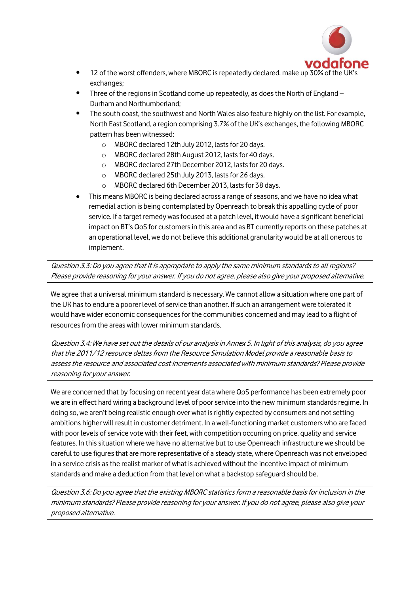

- 12 of the worst offenders, where MBORC is repeatedly declared, make up 30% of the UK's exchanges;
- Three of the regions in Scotland come up repeatedly, as does the North of England Durham and Northumberland;
- The south coast, the southwest and North Wales also feature highly on the list. For example, North East Scotland, a region comprising 3.7% of the UK's exchanges, the following MBORC pattern has been witnessed:
	- o MBORC declared 12th July 2012, lasts for 20 days.
	- o MBORC declared 28th August 2012, lasts for 40 days.
	- o MBORC declared 27th December 2012, lasts for 20 days.
	- o MBORC declared 25th July 2013, lasts for 26 days.
	- o MBORC declared 6th December 2013, lasts for 38 days.
- This means MBORC is being declared across a range of seasons, and we have no idea what remedial action is being contemplated by Openreach to break this appalling cycle of poor service. If a target remedy was focused at a patch level, it would have a significant beneficial impact on BT's QoS for customers in this area and as BT currently reports on these patches at an operational level, we do not believe this additional granularity would be at all onerous to implement.

Question 3.3: Do you agree that it is appropriate to apply the same minimum standards to all regions? Please provide reasoning for your answer. If you do not agree, please also give your proposed alternative.

We agree that a universal minimum standard is necessary. We cannot allow a situation where one part of the UK has to endure a poorer level of service than another. If such an arrangement were tolerated it would have wider economic consequences for the communities concerned and may lead to a flight of resources from the areas with lower minimum standards.

Question 3.4: We have set out the details of our analysis in Annex 5. In light of this analysis, do you agree that the 2011/12 resource deltas from the Resource Simulation Model provide a reasonable basis to assess the resource and associated cost increments associated with minimum standards? Please provide reasoning for your answer.

We are concerned that by focusing on recent year data where QoS performance has been extremely poor we are in effect hard wiring a background level of poor service into the new minimum standards regime. In doing so, we aren't being realistic enough over what is rightly expected by consumers and not setting ambitions higher will result in customer detriment. In a well-functioning market customers who are faced with poor levels of service vote with their feet, with competition occurring on price, quality and service features. In this situation where we have no alternative but to use Openreach infrastructure we should be careful to use figures that are more representative of a steady state, where Openreach was not enveloped in a service crisis asthe realist marker of what is achieved without the incentive impact of minimum standards and make a deduction from that level on what a backstop safeguard should be.

Question 3.6: Do you agree that the existing MBORC statistics form a reasonable basis for inclusion in the minimum standards? Please provide reasoning for your answer. If you do not agree, please also give your proposed alternative.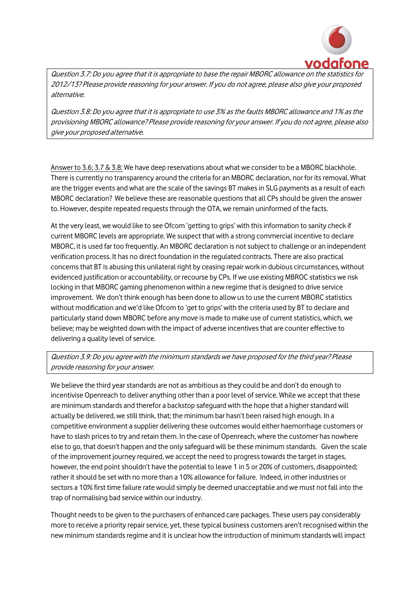

Question 3.7: Do you agree that it is appropriate to base the repair MBORC allowance on the statistics for 2012/13? Please provide reasoning for your answer. If you do not agree, please also give your proposed alternative.

Question 3.8: Do you agree that it is appropriate to use 3% as the faults MBORC allowance and 1% as the provisioning MBORC allowance? Please provide reasoning for your answer. If you do not agree, please also give your proposed alternative.

Answer to 3.6; 3.7 & 3.8: We have deep reservations about what we consider to be a MBORC blackhole. There is currently no transparency around the criteria for an MBORC declaration, nor for its removal. What are the trigger events and what are the scale of the savings BT makes in SLG payments as a result of each MBORC declaration? We believe these are reasonable questions that all CPs should be given the answer to. However, despite repeated requests through the OTA, we remain uninformed of the facts.

At the very least, we would like to see Ofcom 'getting to grips' with this information to sanity check if current MBORC levels are appropriate. We suspect that with a strong commercial incentive to declare MBORC, it is used far too frequently. An MBORC declaration is not subject to challenge or an independent verification process. It has no direct foundation in the regulated contracts. There are also practical concerns that BT is abusing this unilateral right by ceasing repair work in dubious circumstances, without evidenced justification or accountability, or recourse by CPs. If we use existing MBROC statistics we risk locking in that MBORC gaming phenomenon within a new regime that is designed to drive service improvement. We don't think enough has been done to allow us to use the current MBORC statistics without modification and we'd like Ofcom to 'get to grips' with the criteria used by BT to declare and particularly stand down MBORC before any move is made to make use of current statistics, which, we believe; may be weighted down with the impact of adverse incentives that are counter effective to delivering a quality level of service.

Question 3.9: Do you agree with the minimum standards we have proposed for the third year? Please provide reasoning for your answer.

We believe the third year standards are not as ambitious as they could be and don't do enough to incentivise Openreach to deliver anything other than a poor level of service. While we accept that these are minimum standards and therefor a backstop safeguard with the hope that a higher standard will actually be delivered, we still think, that; the minimum bar hasn't been raised high enough. In a competitive environment a supplier delivering these outcomes would either haemorrhage customers or have to slash prices to try and retain them. In the case of Openreach, where the customer has nowhere else to go, that doesn't happen and the only safeguard will be these minimum standards. Given the scale of the improvement journey required, we accept the need to progress towardsthe target in stages, however, the end point shouldn't have the potential to leave 1 in 5 or 20% of customers, disappointed; rather it should be set with no more than a 10% allowance for failure. Indeed, in other industries or sectors a 10% first time failure rate would simply be deemed unacceptable and we must not fall into the trap of normalising bad service within our industry.

Thought needs to be given to the purchasers of enhanced care packages. These users pay considerably more to receive a priority repair service, yet, these typical business customers aren't recognised within the new minimum standards regime and it is unclear how the introduction of minimum standards will impact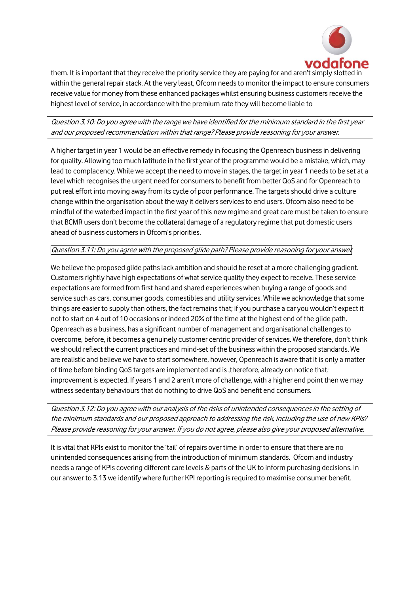

them. It is important that they receive the priority service they are paying for and aren't simply slotted in within the general repair stack. At the very least, Ofcom needs to monitor the impact to ensure consumers receive value for money from these enhanced packages whilst ensuring business customers receive the highest level of service, in accordance with the premium rate they will become liable to

## Question 3.10: Do you agree with the range we have identified for the minimum standard in the first year and our proposed recommendation within that range? Please provide reasoning for your answer.

A higher target in year 1 would be an effective remedy in focusing the Openreach business in delivering for quality. Allowing too much latitude in the first year of the programme would be a mistake, which, may lead to complacency. While we accept the need to move in stages, the target in year 1 needs to be set at a level which recognises the urgent need for consumers to benefit from better QoS and for Openreach to put real effort into moving away from its cycle of poor performance. The targets should drive a culture change within the organisation about the way it delivers services to end users. Ofcom also need to be mindful of the waterbed impact in the first year of this new regime and great care must be taken to ensure that BCMR users don't become the collateral damage of a regulatory regime that put domestic users ahead of business customers in Ofcom's priorities.

#### Question 3.11: Do you agree with the proposed glide path? Please provide reasoning for your answer

We believe the proposed glide paths lack ambition and should be reset at a more challenging gradient. Customers rightly have high expectations of what service quality they expect to receive. These service expectations are formed from first hand and shared experiences when buying a range of goods and service such as cars, consumer goods, comestibles and utility services. While we acknowledge that some things are easier to supply than others, the fact remains that; if you purchase a car you wouldn't expect it not to start on 4 out of 10 occasions or indeed 20% of the time at the highest end of the glide path. Openreach as a business, has a significant number of management and organisational challenges to overcome, before, it becomes a genuinely customer centric provider of services. We therefore, don't think we should reflect the current practices and mind-set of the business within the proposed standards. We are realistic and believe we have to start somewhere, however, Openreach is aware that it is only a matter of time before binding QoS targets are implemented and is ,therefore, already on notice that; improvement is expected. If years 1 and 2 aren't more of challenge, with a higher end point then we may witness sedentary behaviours that do nothing to drive QoS and benefit end consumers.

Question 3.12: Do you agree with our analysis of the risks of unintended consequences in the setting of the minimum standards and our proposed approach to addressing the risk, including the use of new KPIs? Please provide reasoning for your answer. If you do not agree, please also give your proposed alternative.

It is vital that KPIs exist to monitor the 'tail' of repairs over time in order to ensure that there are no unintended consequences arising from the introduction of minimum standards. Ofcom and industry needs a range of KPIs covering different care levels & parts of the UK to inform purchasing decisions. In our answer to 3.13 we identify where further KPI reporting is required to maximise consumer benefit.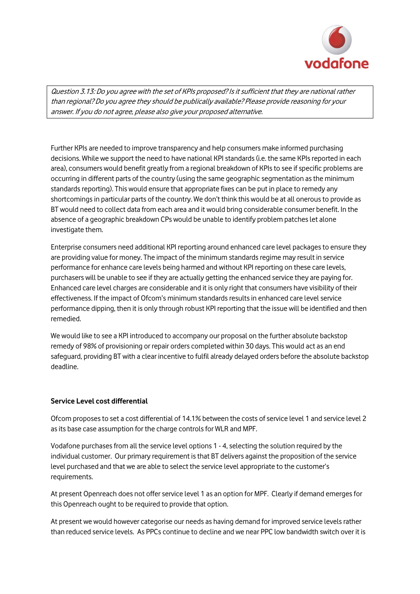

Question 3.13: Do you agree with the set of KPIs proposed? Is it sufficient that they are national rather than regional? Do you agree they should be publically available? Please provide reasoning for your answer. If you do not agree, please also give your proposed alternative.

Further KPIs are needed to improve transparency and help consumers make informed purchasing decisions. While we support the need to have national KPI standards (i.e. the same KPIs reported in each area), consumers would benefit greatly from a regional breakdown of KPIs to see if specific problems are occurring in different parts of the country (using the same geographic segmentation as the minimum standards reporting). This would ensure that appropriate fixes can be put in place to remedy any shortcomings in particular parts of the country. We don't think this would be at all onerous to provide as BT would need to collect data from each area and it would bring considerable consumer benefit. In the absence of a geographic breakdown CPs would be unable to identify problem patches let alone investigate them.

Enterprise consumers need additional KPI reporting around enhanced care level packages to ensure they are providing value for money. The impact of the minimum standards regime may result in service performance for enhance care levels being harmed and without KPI reporting on these care levels, purchasers will be unable to see if they are actually getting the enhanced service they are paying for. Enhanced care level charges are considerable and it is only right that consumers have visibility of their effectiveness. If the impact of Ofcom's minimum standards results in enhanced care level service performance dipping, then it is only through robust KPI reporting that the issue will be identified and then remedied.

We would like to see a KPI introduced to accompany our proposal on the further absolute backstop remedy of 98% of provisioning or repair orders completed within 30 days. This would act as an end safeguard, providing BT with a clear incentive to fulfil already delayed orders before the absolute backstop deadline.

#### **Service Level cost differential**

Ofcom proposes to set a cost differential of 14.1% between the costs of service level 1 and service level 2 as its base case assumption for the charge controls for WLR and MPF.

Vodafone purchases from all the service level options 1 - 4, selecting the solution required by the individual customer. Our primary requirement is that BT delivers against the proposition of the service level purchased and that we are able to select the service level appropriate to the customer's requirements.

At present Openreach does not offer service level 1 as an option for MPF. Clearly if demand emerges for this Openreach ought to be required to provide that option.

At present we would however categorise our needs as having demand for improved service levels rather than reduced service levels. As PPCs continue to decline and we near PPC low bandwidth switch over it is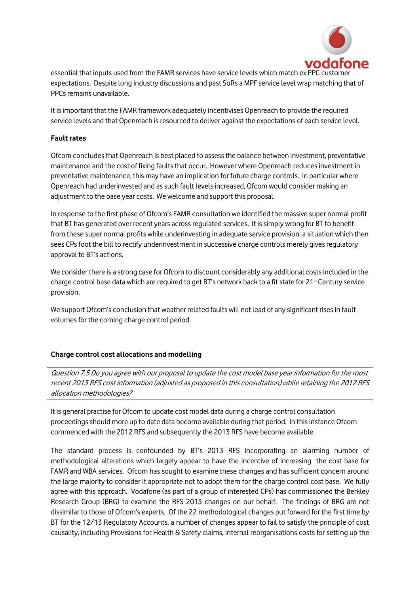

essential that inputs used from the FAMR services have service levels which match ex PPC customer expectations. Despite long industry discussions and past SoRs a MPF service level wrap matching that of PPCs remains unavailable.

It is important that the FAMR framework adequately incentivises Openreach to provide the required service levels and that Openreach is resourced to deliver against the expectations of each service level.

#### **Fault rates**

Ofcom concludes that Openreach is best placed to assess the balance between investment, preventative maintenance and the cost of fixing faults that occur. However where Openreach reduces investment in preventative maintenance, this may have an implication for future charge controls. In particular where Openreach had underinvested and as such fault levels increased, Ofcom would consider making an adjustment to the base year costs. We welcome and support this proposal.

In response to the first phase of Ofcom's FAMR consultation we identified the massive super normal profit that BT has generated over recent years across regulated services. It is simply wrong for BT to benefit from these super normal profits while underinvesting in adequate service provision: a situation which then sees CPs foot the bill to rectify underinvestment in successive charge controls merely gives regulatory approval to BT's actions.

We consider there is a strong case for Ofcom to discount considerably any additional costs included in the charge control base data which are required to get BT's network back to a fit state for  $21<sup>st</sup>$  Century service provision.

We support Ofcom's conclusion that weather related faults will not lead of any significant rises in fault volumes for the coming charge control period.

#### **Charge control cost allocations and modelling**

Question 7.5 Do you agree with our proposal to update the cost model base year information for the most recent 2013 RFS cost information (adjusted as proposed in this consultation) while retaining the 2012 RFS allocation methodologies?

It is general practise for Ofcom to update cost model data during a charge control consultation proceedingsshould more up to date data become available during that period. In this instance Ofcom commenced with the 2012 RFS and subsequently the 2013 RFS have become available.

The standard process is confounded by BT's 2013 RFS incorporating an alarming number of methodological alterations which largely appear to have the incentive of increasing the cost base for FAMR and WBA services. Ofcom has sought to examine these changes and has sufficient concern around the large majority to consider it appropriate not to adopt them for the charge control cost base. We fully agree with this approach. Vodafone (as part of a group of interested CPs) has commissioned the Berkley Research Group (BRG) to examine the RFS 2013 changes on our behalf. The findings of BRG are not dissimilar to those of Ofcom's experts. Of the 22 methodological changes put forward for the first time by BT for the 12/13 Regulatory Accounts, a number of changes appear to fail to satisfy the principle of cost causality, including Provisions for Health & Safety claims, internal reorganisations costs for setting up the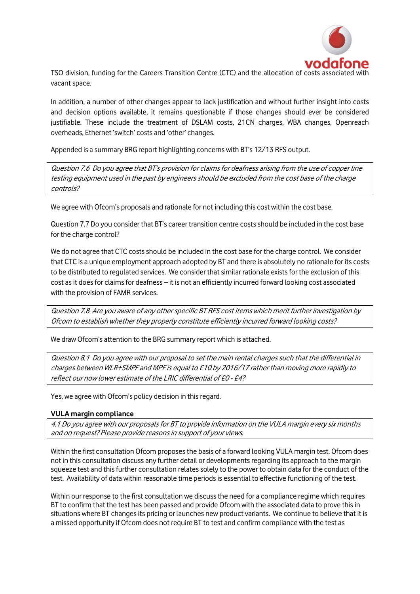

TSO division, funding for the Careers Transition Centre (CTC) and the allocation of costs asso vacant space.

In addition, a number of other changes appear to lack justification and without further insight into costs and decision options available, it remains questionable if those changes should ever be considered justifiable. These include the treatment of DSLAM costs, 21CN charges, WBA changes, Openreach overheads, Ethernet 'switch' costs and 'other' changes.

Appended is a summary BRG report highlighting concerns with BT's 12/13 RFS output.

Question 7.6 Do you agree that BT's provision for claims for deafness arising from the use of copper line testing equipment used in the past by engineers should be excluded from the cost base of the charge controls?

We agree with Ofcom's proposals and rationale for not including this cost within the cost base.

Question 7.7 Do you consider that BT's career transition centre costs should be included in the cost base for the charge control?

We do not agree that CTC costs should be included in the cost base for the charge control. We consider that CTC is a unique employment approach adopted by BT and there is absolutely no rationale for its costs to be distributed to regulated services. We consider that similar rationale exists for the exclusion of this cost as it does for claims for deafness – it is not an efficiently incurred forward looking cost associated with the provision of FAMR services.

Question 7.8 Are you aware of any other specific BT RFS cost items which merit further investigation by Ofcom to establish whether they properly constitute efficiently incurred forward looking costs?

We draw Ofcom's attention to the BRG summary report which is attached.

Question 8.1 Do you agree with our proposal to set the main rental charges such that the differential in charges between WLR+SMPF and MPF is equal to £10 by 2016/17 rather than moving more rapidly to reflect our now lower estimate of the LRIC differential of £0 - £4?

Yes, we agree with Ofcom's policy decision in this regard.

#### **VULA margin compliance**

4.1 Do you agree with our proposals for BT to provide information on the VULA margin every six months and on request? Please provide reasons in support of your views.

Within the first consultation Ofcom proposes the basis of a forward looking VULA margin test. Ofcom does not in this consultation discuss any further detail or developments regarding its approach to the margin squeeze test and this further consultation relates solely to the power to obtain data for the conduct of the test. Availability of data within reasonable time periodsis essential to effective functioning of the test.

Within our response to the first consultation we discuss the need for a compliance regime which requires BT to confirm that the test has been passed and provide Ofcom with the associated data to prove this in situations where BT changes its pricing or launches new product variants. We continue to believe that it is a missed opportunity if Ofcom does not require BT to test and confirm compliance with the test as